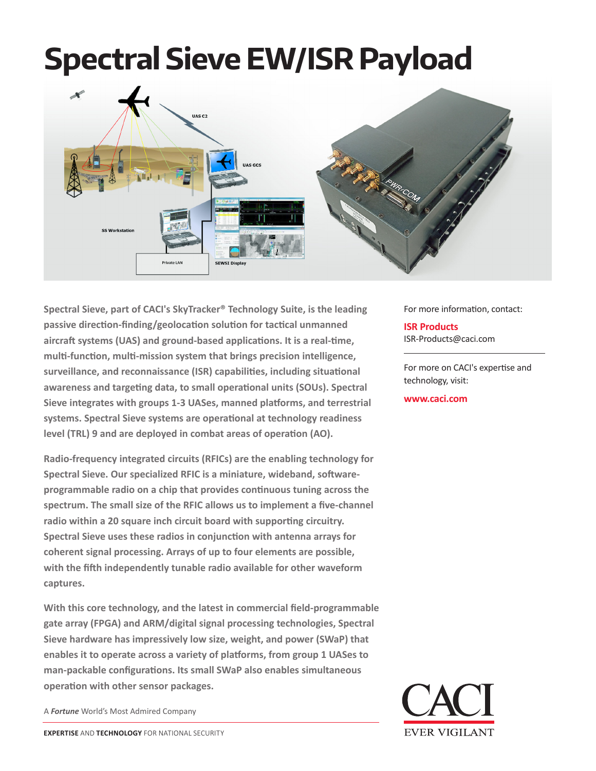# **Spectral Sieve EW/ISR Payload**



**Spectral Sieve, part of CACI's SkyTracker® Technology Suite, is the leading passive direction-finding/geolocation solution for tactical unmanned aircraft systems (UAS) and ground-based applications. It is a real-time, multi-function, multi-mission system that brings precision intelligence, surveillance, and reconnaissance (ISR) capabilities, including situational awareness and targeting data, to small operational units (SOUs). Spectral Sieve integrates with groups 1-3 UASes, manned platforms, and terrestrial systems. Spectral Sieve systems are operational at technology readiness level (TRL) 9 and are deployed in combat areas of operation (AO).**

**Radio-frequency integrated circuits (RFICs) are the enabling technology for Spectral Sieve. Our specialized RFIC is a miniature, wideband, softwareprogrammable radio on a chip that provides continuous tuning across the spectrum. The small size of the RFIC allows us to implement a five-channel radio within a 20 square inch circuit board with supporting circuitry. Spectral Sieve uses these radios in conjunction with antenna arrays for coherent signal processing. Arrays of up to four elements are possible, with the fifth independently tunable radio available for other waveform captures.**

**With this core technology, and the latest in commercial field-programmable gate array (FPGA) and ARM/digital signal processing technologies, Spectral Sieve hardware has impressively low size, weight, and power (SWaP) that enables it to operate across a variety of platforms, from group 1 UASes to man-packable configurations. Its small SWaP also enables simultaneous operation with other sensor packages.**

A *Fortune* World's Most Admired Company

For more information, contact:

**ISR Products** ISR-Products@caci.com

For more on CACI's expertise and technology, visit:

**www.caci.com**